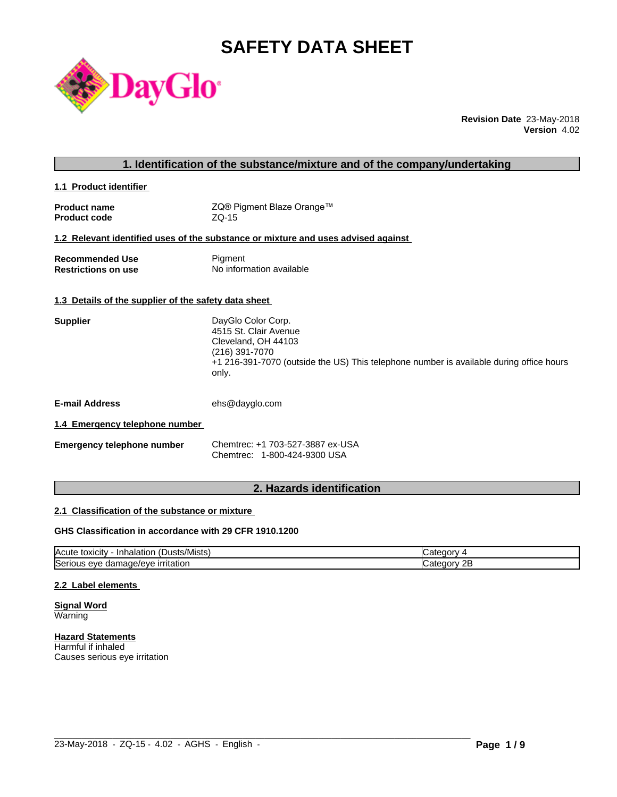# **SAFETY DATA SHEET**



**Revision Date** 23-May-2018 **Version** 4.02

| 1. Identification of the substance/mixture and of the company/undertaking |                                                                                                                                                                                          |  |  |  |
|---------------------------------------------------------------------------|------------------------------------------------------------------------------------------------------------------------------------------------------------------------------------------|--|--|--|
| 1.1 Product identifier                                                    |                                                                                                                                                                                          |  |  |  |
| <b>Product name</b><br><b>Product code</b>                                | ZQ® Pigment Blaze Orange™<br>$ZQ-15$                                                                                                                                                     |  |  |  |
|                                                                           | 1.2 Relevant identified uses of the substance or mixture and uses advised against                                                                                                        |  |  |  |
| <b>Recommended Use</b><br><b>Restrictions on use</b>                      | Pigment<br>No information available                                                                                                                                                      |  |  |  |
| 1.3 Details of the supplier of the safety data sheet                      |                                                                                                                                                                                          |  |  |  |
| <b>Supplier</b>                                                           | DayGlo Color Corp.<br>4515 St. Clair Avenue<br>Cleveland, OH 44103<br>(216) 391-7070<br>+1 216-391-7070 (outside the US) This telephone number is available during office hours<br>only. |  |  |  |
| <b>E-mail Address</b>                                                     | ehs@dayglo.com                                                                                                                                                                           |  |  |  |
| 1.4 Emergency telephone number                                            |                                                                                                                                                                                          |  |  |  |
| <b>Emergency telephone number</b>                                         | Chemtrec: +1 703-527-3887 ex-USA<br>Chemtrec: 1-800-424-9300 USA                                                                                                                         |  |  |  |
|                                                                           |                                                                                                                                                                                          |  |  |  |

## **2. Hazards identification**

## **2.1 Classification of the substance or mixture**

## **GHS Classification in accordance with 29 CFR 1910.1200**

| $\mathbf{r}$<br>/Mists<br>ιΟΧΙCItV<br><b>IAcute</b><br>⊣nh′<br>Dust:<br>naiatior | ы.<br>$\mathbf{v}$ |
|----------------------------------------------------------------------------------|--------------------|
| <b>Serious</b>                                                                   | חר.                |
| <b>irritation</b>                                                                | 10 I V             |
| nage/eve                                                                         | <u>_</u>           |
| eve                                                                              |                    |
| uar                                                                              | .                  |

 $\_$  ,  $\_$  ,  $\_$  ,  $\_$  ,  $\_$  ,  $\_$  ,  $\_$  ,  $\_$  ,  $\_$  ,  $\_$  ,  $\_$  ,  $\_$  ,  $\_$  ,  $\_$  ,  $\_$  ,  $\_$  ,  $\_$  ,  $\_$  ,  $\_$  ,  $\_$  ,  $\_$  ,  $\_$  ,  $\_$  ,  $\_$  ,  $\_$  ,  $\_$  ,  $\_$  ,  $\_$  ,  $\_$  ,  $\_$  ,  $\_$  ,  $\_$  ,  $\_$  ,  $\_$  ,  $\_$  ,  $\_$  ,  $\_$  ,

## **2.2 Label elements**

**Signal Word** Warning

**Hazard Statements** Harmful if inhaled Causes serious eye irritation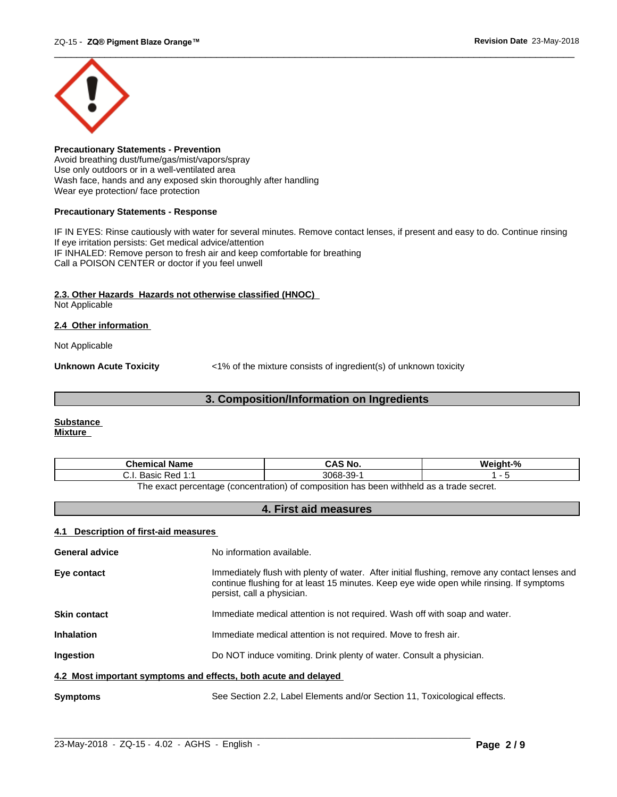

**Precautionary Statements - Prevention** Avoid breathing dust/fume/gas/mist/vapors/spray Use only outdoors or in a well-ventilated area Wash face, hands and any exposed skin thoroughly after handling Wear eye protection/ face protection

## **Precautionary Statements - Response**

IF IN EYES: Rinse cautiously with water for several minutes. Remove contact lenses, if present and easy to do. Continue rinsing If eye irritation persists: Get medical advice/attention IF INHALED: Remove person to fresh air and keep comfortable for breathing Call a POISON CENTER or doctor if you feel unwell

## **2.3. Other Hazards Hazards not otherwise classified (HNOC)**

Not Applicable

## **2.4 Other information**

Not Applicable

**Unknown Acute Toxicity**  $\langle 1\%$  of the mixture consists of ingredient(s) of unknown toxicity

## **3. Composition/Information on Ingredients**

#### **Substance Mixture**

| Chemical<br>∣ Name                                                                      | `S No.<br>CA.              | $\mathbf{a}$ |  |
|-----------------------------------------------------------------------------------------|----------------------------|--------------|--|
| <b>Dod 1.4</b><br>20010<br>n sa<br>ن.<br>Dasit<br>.                                     | 3068<br>$\sim$<br>99-<br>ີ |              |  |
| The exact perceptage (conceptration) of compecition has been withhold as a trade secret |                            |              |  |

The exact percentage (concentration) of composition has been withheld as a trade secret.

## **4. First aid measures**

## **4.1 Description of first-aid measures**

| <b>General advice</b>                                           | No information available.                                                                                                                                                                                               |  |
|-----------------------------------------------------------------|-------------------------------------------------------------------------------------------------------------------------------------------------------------------------------------------------------------------------|--|
| Eye contact                                                     | Immediately flush with plenty of water. After initial flushing, remove any contact lenses and<br>continue flushing for at least 15 minutes. Keep eye wide open while rinsing. If symptoms<br>persist, call a physician. |  |
| <b>Skin contact</b>                                             | Immediate medical attention is not required. Wash off with soap and water.                                                                                                                                              |  |
| <b>Inhalation</b>                                               | Immediate medical attention is not required. Move to fresh air.                                                                                                                                                         |  |
| <b>Ingestion</b>                                                | Do NOT induce vomiting. Drink plenty of water. Consult a physician.                                                                                                                                                     |  |
| 4.2 Most important symptoms and effects, both acute and delayed |                                                                                                                                                                                                                         |  |
| <b>Symptoms</b>                                                 | See Section 2.2, Label Elements and/or Section 11, Toxicological effects.                                                                                                                                               |  |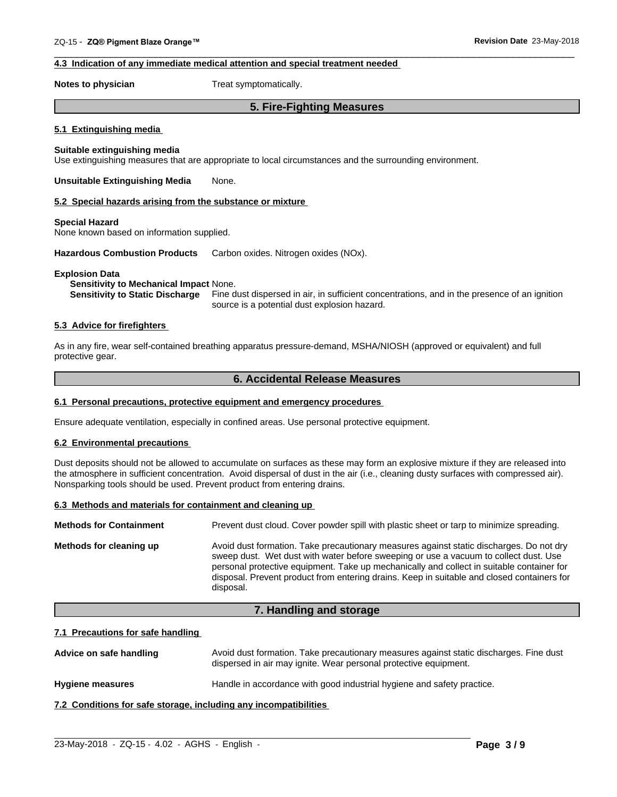## **4.3 Indication of any immediate medical attention and special treatment needed**

**Notes to physician** Treat symptomatically.

## **5. Fire-Fighting Measures**

 $\overline{\phantom{a}}$  ,  $\overline{\phantom{a}}$  ,  $\overline{\phantom{a}}$  ,  $\overline{\phantom{a}}$  ,  $\overline{\phantom{a}}$  ,  $\overline{\phantom{a}}$  ,  $\overline{\phantom{a}}$  ,  $\overline{\phantom{a}}$  ,  $\overline{\phantom{a}}$  ,  $\overline{\phantom{a}}$  ,  $\overline{\phantom{a}}$  ,  $\overline{\phantom{a}}$  ,  $\overline{\phantom{a}}$  ,  $\overline{\phantom{a}}$  ,  $\overline{\phantom{a}}$  ,  $\overline{\phantom{a}}$ 

#### **5.1 Extinguishing media**

### **Suitable extinguishing media**

Use extinguishing measures that are appropriate to local circumstances and the surrounding environment.

**Unsuitable Extinguishing Media** None.

#### **5.2 Special hazards arising from the substance or mixture**

#### **Special Hazard**

None known based on information supplied.

**Hazardous Combustion Products** Carbon oxides. Nitrogen oxides (NOx).

#### **Explosion Data**

#### **Sensitivity to Mechanical Impact** None.

**Sensitivity to Static Discharge** Fine dust dispersed in air, in sufficient concentrations, and in the presence of an ignition source is a potential dust explosion hazard.

## **5.3 Advice for firefighters**

As in any fire, wear self-contained breathing apparatus pressure-demand, MSHA/NIOSH (approved or equivalent) and full protective gear.

## **6. Accidental Release Measures**

#### **6.1 Personal precautions, protective equipment and emergency procedures**

Ensure adequate ventilation, especially in confined areas. Use personal protective equipment.

#### **6.2 Environmental precautions**

Dust deposits should not be allowed to accumulate on surfaces as these may form an explosive mixture if they are released into the atmosphere in sufficient concentration. Avoid dispersal of dust in the air (i.e., cleaning dusty surfaces with compressed air). Nonsparking tools should be used. Prevent product from entering drains.

#### **6.3 Methods and materials for containment and cleaning up**

| <b>Methods for Containment</b> | Prevent dust cloud. Cover powder spill with plastic sheet or tarp to minimize spreading.                                                                                                                                                                                                                                                                                                |
|--------------------------------|-----------------------------------------------------------------------------------------------------------------------------------------------------------------------------------------------------------------------------------------------------------------------------------------------------------------------------------------------------------------------------------------|
| Methods for cleaning up        | Avoid dust formation. Take precautionary measures against static discharges. Do not dry<br>sweep dust. Wet dust with water before sweeping or use a vacuum to collect dust. Use<br>personal protective equipment. Take up mechanically and collect in suitable container for<br>disposal. Prevent product from entering drains. Keep in suitable and closed containers for<br>disposal. |

## **7. Handling and storage**

### **7.1 Precautions for safe handling**

Advice on safe handling **Avoid dust formation. Take precautionary measures against static discharges. Fine dust** dispersed in air may ignite. Wear personal protective equipment.

 $\_$  ,  $\_$  ,  $\_$  ,  $\_$  ,  $\_$  ,  $\_$  ,  $\_$  ,  $\_$  ,  $\_$  ,  $\_$  ,  $\_$  ,  $\_$  ,  $\_$  ,  $\_$  ,  $\_$  ,  $\_$  ,  $\_$  ,  $\_$  ,  $\_$  ,  $\_$  ,  $\_$  ,  $\_$  ,  $\_$  ,  $\_$  ,  $\_$  ,  $\_$  ,  $\_$  ,  $\_$  ,  $\_$  ,  $\_$  ,  $\_$  ,  $\_$  ,  $\_$  ,  $\_$  ,  $\_$  ,  $\_$  ,  $\_$  ,

**Hygiene measures** Handle in accordance with good industrial hygiene and safety practice.

**7.2 Conditions for safe storage, including any incompatibilities**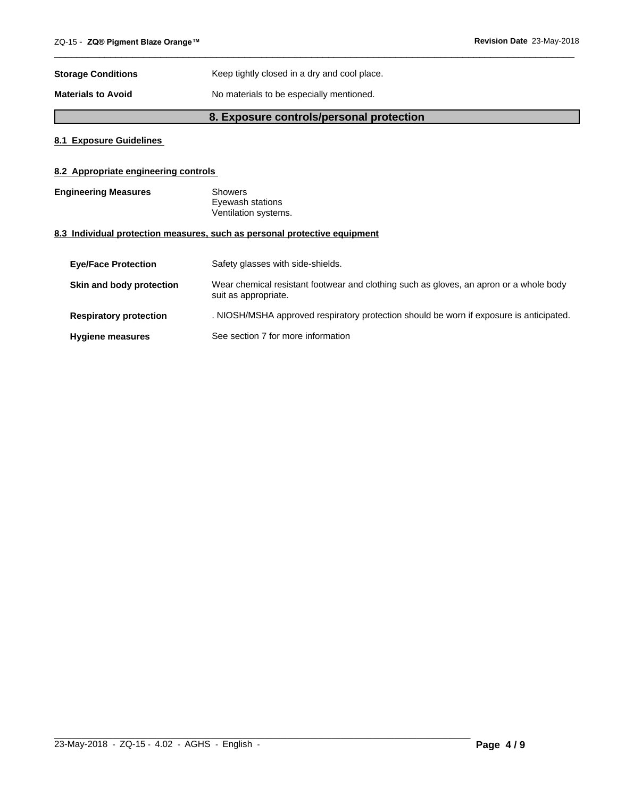| <b>Storage Conditions</b> | Keep tightly closed in a dry and cool place. |  |
|---------------------------|----------------------------------------------|--|
| <b>Materials to Avoid</b> | No materials to be especially mentioned.     |  |

## **8. Exposure controls/personal protection**

 $\overline{\phantom{a}}$  ,  $\overline{\phantom{a}}$  ,  $\overline{\phantom{a}}$  ,  $\overline{\phantom{a}}$  ,  $\overline{\phantom{a}}$  ,  $\overline{\phantom{a}}$  ,  $\overline{\phantom{a}}$  ,  $\overline{\phantom{a}}$  ,  $\overline{\phantom{a}}$  ,  $\overline{\phantom{a}}$  ,  $\overline{\phantom{a}}$  ,  $\overline{\phantom{a}}$  ,  $\overline{\phantom{a}}$  ,  $\overline{\phantom{a}}$  ,  $\overline{\phantom{a}}$  ,  $\overline{\phantom{a}}$ 

## **8.1 Exposure Guidelines**

## **8.2 Appropriate engineering controls**

| <b>Engineering Measures</b> | Showers              |  |
|-----------------------------|----------------------|--|
|                             | Eyewash stations     |  |
|                             | Ventilation systems. |  |

## **8.3 Individual protection measures, such as personal protective equipment**

| <b>Eve/Face Protection</b>    | Safety glasses with side-shields.                                                                              |
|-------------------------------|----------------------------------------------------------------------------------------------------------------|
| Skin and body protection      | Wear chemical resistant footwear and clothing such as gloves, an apron or a whole body<br>suit as appropriate. |
| <b>Respiratory protection</b> | . NIOSH/MSHA approved respiratory protection should be worn if exposure is anticipated.                        |
| <b>Hygiene measures</b>       | See section 7 for more information                                                                             |

 $\_$  ,  $\_$  ,  $\_$  ,  $\_$  ,  $\_$  ,  $\_$  ,  $\_$  ,  $\_$  ,  $\_$  ,  $\_$  ,  $\_$  ,  $\_$  ,  $\_$  ,  $\_$  ,  $\_$  ,  $\_$  ,  $\_$  ,  $\_$  ,  $\_$  ,  $\_$  ,  $\_$  ,  $\_$  ,  $\_$  ,  $\_$  ,  $\_$  ,  $\_$  ,  $\_$  ,  $\_$  ,  $\_$  ,  $\_$  ,  $\_$  ,  $\_$  ,  $\_$  ,  $\_$  ,  $\_$  ,  $\_$  ,  $\_$  ,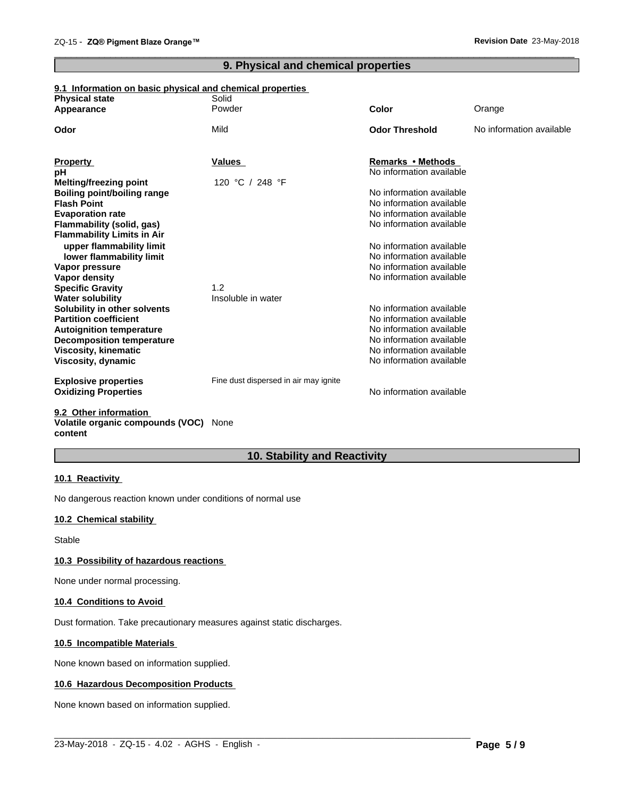## **9. Physical and chemical properties**

 $\overline{\phantom{a}}$  ,  $\overline{\phantom{a}}$  ,  $\overline{\phantom{a}}$  ,  $\overline{\phantom{a}}$  ,  $\overline{\phantom{a}}$  ,  $\overline{\phantom{a}}$  ,  $\overline{\phantom{a}}$  ,  $\overline{\phantom{a}}$  ,  $\overline{\phantom{a}}$  ,  $\overline{\phantom{a}}$  ,  $\overline{\phantom{a}}$  ,  $\overline{\phantom{a}}$  ,  $\overline{\phantom{a}}$  ,  $\overline{\phantom{a}}$  ,  $\overline{\phantom{a}}$  ,  $\overline{\phantom{a}}$ 

## **9.1 Information on basic physical and chemical properties**

| <b>Physical state</b>              | Solid                                 |                          |                          |
|------------------------------------|---------------------------------------|--------------------------|--------------------------|
| Appearance                         | Powder                                | Color                    | Orange                   |
| Odor                               | Mild                                  | <b>Odor Threshold</b>    | No information available |
| <b>Property</b>                    | Values                                | Remarks • Methods        |                          |
| pН                                 |                                       | No information available |                          |
| <b>Melting/freezing point</b>      | 120 °C / 248 °F                       |                          |                          |
| <b>Boiling point/boiling range</b> |                                       | No information available |                          |
| <b>Flash Point</b>                 |                                       | No information available |                          |
| <b>Evaporation rate</b>            |                                       | No information available |                          |
| Flammability (solid, gas)          |                                       | No information available |                          |
| <b>Flammability Limits in Air</b>  |                                       |                          |                          |
| upper flammability limit           |                                       | No information available |                          |
| lower flammability limit           |                                       | No information available |                          |
| Vapor pressure                     |                                       | No information available |                          |
| Vapor density                      |                                       | No information available |                          |
| <b>Specific Gravity</b>            | 1.2                                   |                          |                          |
| <b>Water solubility</b>            | Insoluble in water                    |                          |                          |
| Solubility in other solvents       |                                       | No information available |                          |
| <b>Partition coefficient</b>       |                                       | No information available |                          |
| <b>Autoignition temperature</b>    |                                       | No information available |                          |
| <b>Decomposition temperature</b>   |                                       | No information available |                          |
| <b>Viscosity, kinematic</b>        |                                       | No information available |                          |
| Viscosity, dynamic                 |                                       | No information available |                          |
| <b>Explosive properties</b>        | Fine dust dispersed in air may ignite |                          |                          |
| <b>Oxidizing Properties</b>        |                                       | No information available |                          |
| 0.0. Other information             |                                       |                          |                          |

#### **9.2 Other information Volatile organic compounds (VOC)** None **content**

## **10. Stability and Reactivity**

## **10.1 Reactivity**

No dangerous reaction known under conditions of normal use

## **10.2 Chemical stability**

Stable

## **10.3 Possibility of hazardous reactions**

None under normal processing.

## **10.4 Conditions to Avoid**

Dust formation. Take precautionary measures against static discharges.

## **10.5 Incompatible Materials**

None known based on information supplied.

## **10.6 Hazardous Decomposition Products**

None known based on information supplied.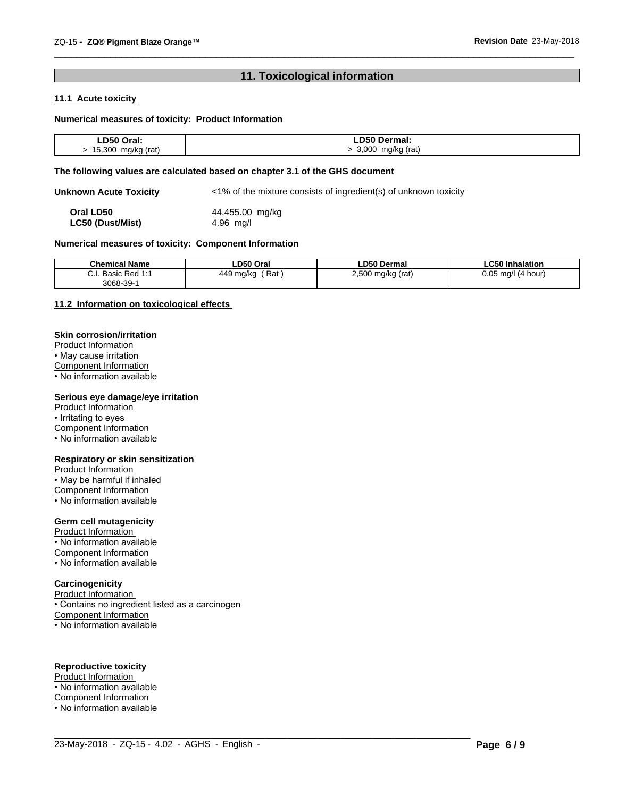## **11. Toxicological information**

 $\overline{\phantom{a}}$  ,  $\overline{\phantom{a}}$  ,  $\overline{\phantom{a}}$  ,  $\overline{\phantom{a}}$  ,  $\overline{\phantom{a}}$  ,  $\overline{\phantom{a}}$  ,  $\overline{\phantom{a}}$  ,  $\overline{\phantom{a}}$  ,  $\overline{\phantom{a}}$  ,  $\overline{\phantom{a}}$  ,  $\overline{\phantom{a}}$  ,  $\overline{\phantom{a}}$  ,  $\overline{\phantom{a}}$  ,  $\overline{\phantom{a}}$  ,  $\overline{\phantom{a}}$  ,  $\overline{\phantom{a}}$ 

## **11.1 Acute toxicity**

## **Numerical measures of toxicity: Product Information**

| ∟D50<br>Oral:                  | Dermal:                   |
|--------------------------------|---------------------------|
| 5.300<br>mg/kg (rat)<br>Ð<br>. | 3,000<br>mg/kg (rat)<br>. |

## **The following values are calculated based on chapter 3.1 of the GHS document**

**Unknown Acute Toxicity** <1% of the mixture consists of ingredient(s) of unknown toxicity

**Oral LD50** 44,455.00 mg/kg<br> **LC50 (Dust/Mist)** 4.96 mg/l **LC50** (Dust/Mist)

## **Numerical measures of toxicity: Component Information**

| <b>Chemical Name</b>                        | ∟D50 Oral             | <b>LD50 Dermal</b>      | <b>LC50 Inhalation</b>   |
|---------------------------------------------|-----------------------|-------------------------|--------------------------|
| Basic<br>^<br>$Dod$ 1.1<br>seu.<br>3068-39- | Rat<br>449<br>∣ ma/kc | 2.500<br>(rat)<br>mq/kq | 0.05<br>ma/l<br>(4 hour) |

 $\_$  ,  $\_$  ,  $\_$  ,  $\_$  ,  $\_$  ,  $\_$  ,  $\_$  ,  $\_$  ,  $\_$  ,  $\_$  ,  $\_$  ,  $\_$  ,  $\_$  ,  $\_$  ,  $\_$  ,  $\_$  ,  $\_$  ,  $\_$  ,  $\_$  ,  $\_$  ,  $\_$  ,  $\_$  ,  $\_$  ,  $\_$  ,  $\_$  ,  $\_$  ,  $\_$  ,  $\_$  ,  $\_$  ,  $\_$  ,  $\_$  ,  $\_$  ,  $\_$  ,  $\_$  ,  $\_$  ,  $\_$  ,  $\_$  ,

## **11.2 Information on toxicologicaleffects**

## **Skin corrosion/irritation**

Product Information • May cause irritation Component Information

• No information available

## **Serious eye damage/eye irritation**

Product Information • Irritating to eyes Component Information • No information available

#### **Respiratory or skin sensitization**

Product Information • May be harmful if inhaled Component Information • No information available

## **Germ cell mutagenicity**

Product Information • No information available Component Information • No information available

## **Carcinogenicity**

Product Information • Contains no ingredient listed as a carcinogen Component Information • No information available

## **Reproductive toxicity**

Product Information • No information available Component Information • No information available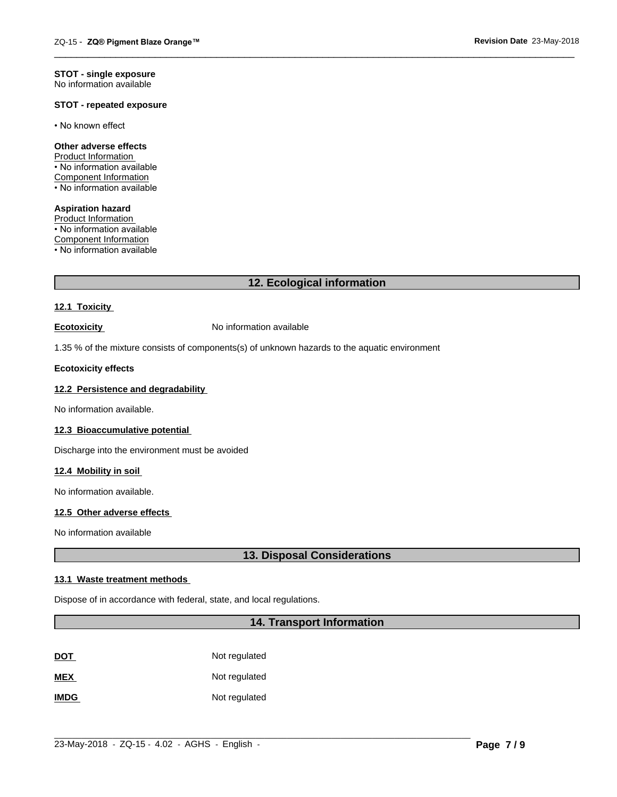#### **STOT - single exposure** No information available

## **STOT - repeated exposure**

• No known effect

### **Other adverse effects**

Product Information • No information available Component Information • No information available

**Aspiration hazard** Product Information • No information available Component Information • No information available

## **12. Ecological information**

 $\overline{\phantom{a}}$  ,  $\overline{\phantom{a}}$  ,  $\overline{\phantom{a}}$  ,  $\overline{\phantom{a}}$  ,  $\overline{\phantom{a}}$  ,  $\overline{\phantom{a}}$  ,  $\overline{\phantom{a}}$  ,  $\overline{\phantom{a}}$  ,  $\overline{\phantom{a}}$  ,  $\overline{\phantom{a}}$  ,  $\overline{\phantom{a}}$  ,  $\overline{\phantom{a}}$  ,  $\overline{\phantom{a}}$  ,  $\overline{\phantom{a}}$  ,  $\overline{\phantom{a}}$  ,  $\overline{\phantom{a}}$ 

## **12.1 Toxicity**

**Ecotoxicity No information available** 

1.35 % of the mixture consists of components(s) of unknown hazards to the aquatic environment

## **Ecotoxicity effects**

## **12.2 Persistence and degradability**

No information available.

#### **12.3 Bioaccumulative potential**

Discharge into the environment must be avoided

### **12.4 Mobility in soil**

No information available.

## **12.5 Other adverse effects**

No information available

## **13. Disposal Considerations**

## **13.1 Waste treatment methods**

Dispose of in accordance with federal, state, and local regulations.

## **14. Transport Information**

 $\_$  ,  $\_$  ,  $\_$  ,  $\_$  ,  $\_$  ,  $\_$  ,  $\_$  ,  $\_$  ,  $\_$  ,  $\_$  ,  $\_$  ,  $\_$  ,  $\_$  ,  $\_$  ,  $\_$  ,  $\_$  ,  $\_$  ,  $\_$  ,  $\_$  ,  $\_$  ,  $\_$  ,  $\_$  ,  $\_$  ,  $\_$  ,  $\_$  ,  $\_$  ,  $\_$  ,  $\_$  ,  $\_$  ,  $\_$  ,  $\_$  ,  $\_$  ,  $\_$  ,  $\_$  ,  $\_$  ,  $\_$  ,  $\_$  ,

| <u>DOT</u>  | Not regulated |
|-------------|---------------|
| <b>MEX</b>  | Not regulated |
| <b>IMDG</b> | Not regulated |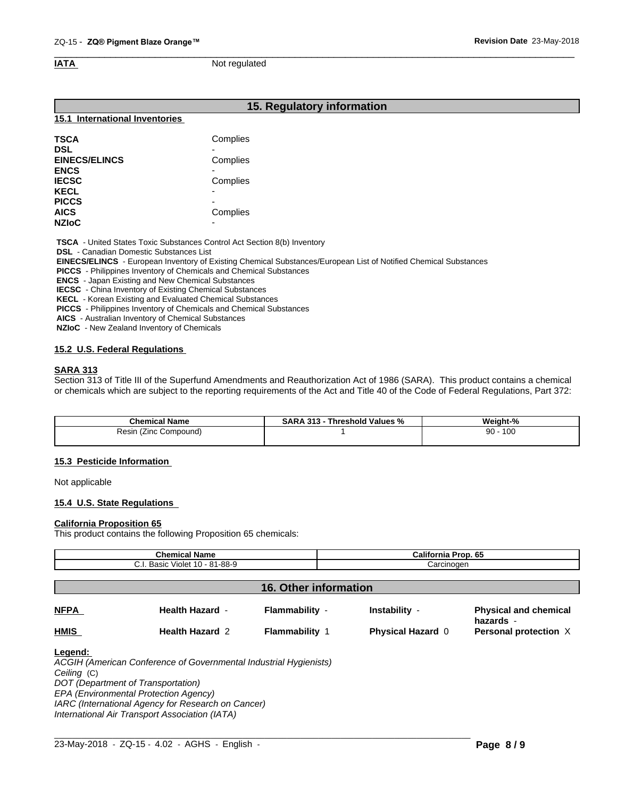$\overline{\phantom{a}}$  ,  $\overline{\phantom{a}}$  ,  $\overline{\phantom{a}}$  ,  $\overline{\phantom{a}}$  ,  $\overline{\phantom{a}}$  ,  $\overline{\phantom{a}}$  ,  $\overline{\phantom{a}}$  ,  $\overline{\phantom{a}}$  ,  $\overline{\phantom{a}}$  ,  $\overline{\phantom{a}}$  ,  $\overline{\phantom{a}}$  ,  $\overline{\phantom{a}}$  ,  $\overline{\phantom{a}}$  ,  $\overline{\phantom{a}}$  ,  $\overline{\phantom{a}}$  ,  $\overline{\phantom{a}}$ **IATA** Not regulated

## **15. Regulatory information**

#### **15.1 International Inventories**

| Complies                 |
|--------------------------|
| -                        |
| Complies                 |
|                          |
| Complies                 |
| $\overline{\phantom{0}}$ |
| $\overline{\phantom{0}}$ |
| Complies                 |
| $\overline{\phantom{0}}$ |
|                          |

 **TSCA** - United States Toxic Substances Control Act Section 8(b) Inventory

 **DSL** - Canadian Domestic Substances List

 **EINECS/ELINCS** - European Inventory of Existing Chemical Substances/European List of Notified Chemical Substances

 **PICCS** - Philippines Inventory of Chemicals and Chemical Substances

 **ENCS** - Japan Existing and New Chemical Substances

 **IECSC** - China Inventory of Existing Chemical Substances

 **KECL** - Korean Existing and Evaluated Chemical Substances

 **PICCS** - Philippines Inventory of Chemicals and Chemical Substances

 **AICS** - Australian Inventory of Chemical Substances

 **NZIoC** - New Zealand Inventory of Chemicals

## **15.2 U.S. Federal Regulations**

## **SARA 313**

Section 313 of Title III of the Superfund Amendments and Reauthorization Act of 1986 (SARA). This product contains a chemical or chemicals which are subject to the reporting requirements of the Act and Title 40 of the Code of Federal Regulations, Part 372:

| <b>Chemical Name</b>        | 313<br>Threshold Values %<br>SARA | $\sim$ $\sim$<br>Weight-<br>$\cdot$ % |
|-----------------------------|-----------------------------------|---------------------------------------|
| ≺esın<br>Compound)<br>≀∠inc |                                   | 100<br>90                             |
|                             |                                   |                                       |

## **15.3 Pesticide Information**

Not applicable

## **15.4 U.S. State Regulations**

#### **California Proposition 65**

This product contains the following Proposition 65 chemicals:

| <b>Chemical Name</b><br>C.I. Basic Violet 10 - 81-88-9 |                                                                   |                       | California Prop. 65      |                                           |  |
|--------------------------------------------------------|-------------------------------------------------------------------|-----------------------|--------------------------|-------------------------------------------|--|
|                                                        |                                                                   |                       | Carcinogen               |                                           |  |
| <b>16. Other information</b>                           |                                                                   |                       |                          |                                           |  |
| <b>NFPA</b>                                            | <b>Health Hazard -</b>                                            | Flammability -        | Instability -            | <b>Physical and chemical</b><br>hazards - |  |
| <b>HMIS</b>                                            | <b>Health Hazard 2</b>                                            | <b>Flammability 1</b> | <b>Physical Hazard 0</b> | Personal protection X                     |  |
| Legend:                                                | ACGIH (American Conference of Governmental Industrial Hygienists) |                       |                          |                                           |  |

*Ceiling* (C) *DOT (Department of Transportation) EPA (Environmental Protection Agency) IARC (International Agency for Research on Cancer) International Air Transport Association (IATA)*